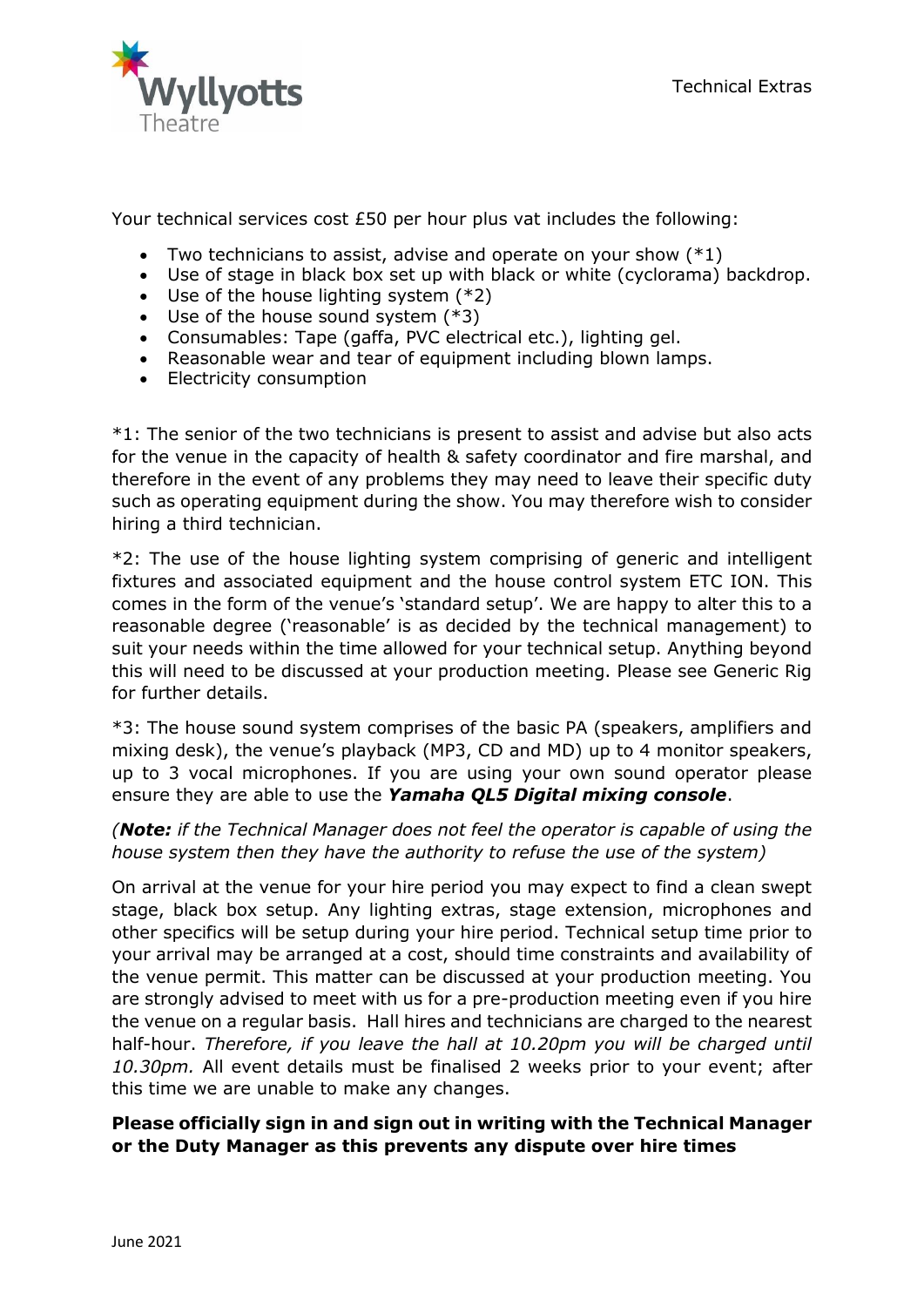

Your technical services cost £50 per hour plus vat includes the following:

- Two technicians to assist, advise and operate on your show  $(*1)$
- Use of stage in black box set up with black or white (cyclorama) backdrop.
- Use of the house lighting system (\*2)
- Use of the house sound system (\*3)
- Consumables: Tape (gaffa, PVC electrical etc.), lighting gel.
- Reasonable wear and tear of equipment including blown lamps.
- Electricity consumption

\*1: The senior of the two technicians is present to assist and advise but also acts for the venue in the capacity of health & safety coordinator and fire marshal, and therefore in the event of any problems they may need to leave their specific duty such as operating equipment during the show. You may therefore wish to consider hiring a third technician.

\*2: The use of the house lighting system comprising of generic and intelligent fixtures and associated equipment and the house control system ETC ION. This comes in the form of the venue's 'standard setup'. We are happy to alter this to a reasonable degree ('reasonable' is as decided by the technical management) to suit your needs within the time allowed for your technical setup. Anything beyond this will need to be discussed at your production meeting. Please see Generic Rig for further details.

\*3: The house sound system comprises of the basic PA (speakers, amplifiers and mixing desk), the venue's playback (MP3, CD and MD) up to 4 monitor speakers, up to 3 vocal microphones. If you are using your own sound operator please ensure they are able to use the *Yamaha QL5 Digital mixing console*.

## *(Note: if the Technical Manager does not feel the operator is capable of using the house system then they have the authority to refuse the use of the system)*

On arrival at the venue for your hire period you may expect to find a clean swept stage, black box setup. Any lighting extras, stage extension, microphones and other specifics will be setup during your hire period. Technical setup time prior to your arrival may be arranged at a cost, should time constraints and availability of the venue permit. This matter can be discussed at your production meeting. You are strongly advised to meet with us for a pre-production meeting even if you hire the venue on a regular basis. Hall hires and technicians are charged to the nearest half-hour. *Therefore, if you leave the hall at 10.20pm you will be charged until 10.30pm.* All event details must be finalised 2 weeks prior to your event; after this time we are unable to make any changes.

## **Please officially sign in and sign out in writing with the Technical Manager or the Duty Manager as this prevents any dispute over hire times**